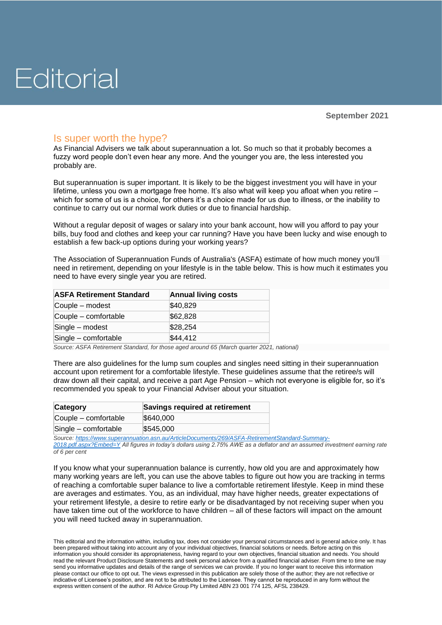## Is super worth the hype?

As Financial Advisers we talk about superannuation a lot. So much so that it probably becomes a fuzzy word people don't even hear any more. And the younger you are, the less interested you probably are.

But superannuation is super important. It is likely to be the biggest investment you will have in your lifetime, unless you own a mortgage free home. It's also what will keep you afloat when you retire – which for some of us is a choice, for others it's a choice made for us due to illness, or the inability to continue to carry out our normal work duties or due to financial hardship.

Without a regular deposit of wages or salary into your bank account, how will you afford to pay your bills, buy food and clothes and keep your car running? Have you have been lucky and wise enough to establish a few back-up options during your working years?

The Association of Superannuation Funds of Australia's (ASFA) estimate of how much money you'll need in retirement, depending on your lifestyle is in the table below. This is how much it estimates you need to have every single year you are retired.

| <b>ASFA Retirement Standard</b> | <b>Annual living costs</b> |
|---------------------------------|----------------------------|
| Couple – modest                 | \$40,829                   |
| Couple - comfortable            | \$62,828                   |
| Single - modest                 | \$28,254                   |
| Single - comfortable            | \$44,412                   |

*Source: ASFA Retirement Standard, for those aged around 65 (March quarter 2021, national)*

There are also guidelines for the lump sum couples and singles need sitting in their superannuation account upon retirement for a comfortable lifestyle. These guidelines assume that the retiree/s will draw down all their capital, and receive a part Age Pension – which not everyone is eligible for, so it's recommended you speak to your Financial Adviser about your situation.

| Category             | Savings required at retirement |
|----------------------|--------------------------------|
| Couple – comfortable | \$640,000                      |
| Single - comfortable | \$545,000                      |

*Source: [https://www.superannuation.asn.au/ArticleDocuments/269/ASFA-RetirementStandard-Summary-](https://www.superannuation.asn.au/ArticleDocuments/269/ASFA-RetirementStandard-Summary-2018.pdf.aspx?Embed=Y)[2018.pdf.aspx?Embed=Y](https://www.superannuation.asn.au/ArticleDocuments/269/ASFA-RetirementStandard-Summary-2018.pdf.aspx?Embed=Y) All figures in today's dollars using 2.75% AWE as a deflator and an assumed investment earning rate of 6 per cent*

If you know what your superannuation balance is currently, how old you are and approximately how many working years are left, you can use the above tables to figure out how you are tracking in terms of reaching a comfortable super balance to live a comfortable retirement lifestyle. Keep in mind these are averages and estimates. You, as an individual, may have higher needs, greater expectations of your retirement lifestyle, a desire to retire early or be disadvantaged by not receiving super when you have taken time out of the workforce to have children – all of these factors will impact on the amount you will need tucked away in superannuation.

This editorial and the information within, including tax, does not consider your personal circumstances and is general advice only. It has been prepared without taking into account any of your individual objectives, financial solutions or needs. Before acting on this information you should consider its appropriateness, having regard to your own objectives, financial situation and needs. You should read the relevant Product Disclosure Statements and seek personal advice from a qualified financial adviser. From time to time we may send you informative updates and details of the range of services we can provide. If you no longer want to receive this information please contact our office to opt out. The views expressed in this publication are solely those of the author; they are not reflective or indicative of Licensee's position, and are not to be attributed to the Licensee. They cannot be reproduced in any form without the express written consent of the author. RI Advice Group Pty Limited ABN 23 001 774 125, AFSL 238429.